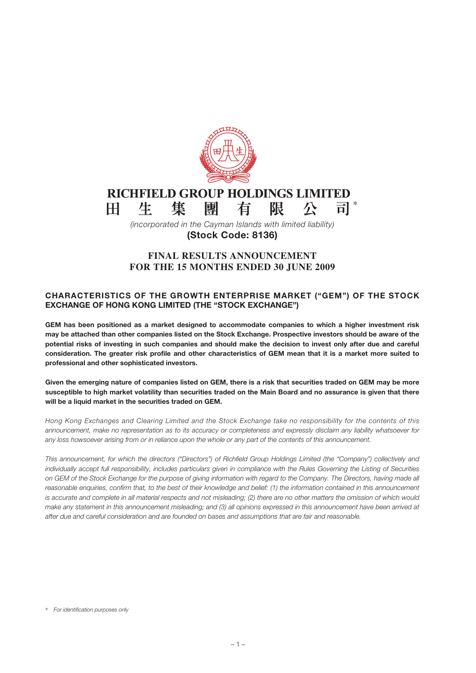

#### RICHFIELD GROUP HOLDINGS LIMITED \* 生 集 團 有 限 公  $H<sub>1</sub>$

*(incorporated in the Cayman Islands with limited liability)* **(Stock Code: 8136)**

# **FINAL RESULTS ANNOUNCEMENT FOR THE 15 MONTHS ENDED 30 JUNE 2009**

## **CHARACTERISTICS OF THE GROWTH ENTERPRISE MARKET ("GEM") OF THE STOCK EXCHANGE OF HONG KONG LIMITED (THE "STOCK EXCHANGE")**

**GEM has been positioned as a market designed to accommodate companies to which a higher investment risk may be attached than other companies listed on the Stock Exchange. Prospective investors should be aware of the potential risks of investing in such companies and should make the decision to invest only after due and careful consideration. The greater risk profile and other characteristics of GEM mean that it is a market more suited to professional and other sophisticated investors.**

**Given the emerging nature of companies listed on GEM, there is a risk that securities traded on GEM may be more susceptible to high market volatility than securities traded on the Main Board and no assurance is given that there will be a liquid market in the securities traded on GEM.**

*Hong Kong Exchanges and Clearing Limited and the Stock Exchange take no responsibility for the contents of this announcement, make no representation as to its accuracy or completeness and expressly disclaim any liability whatsoever for any loss howsoever arising from or in reliance upon the whole or any part of the contents of this announcement.*

*This announcement, for which the directors ("Directors") of Richfield Group Holdings Limited (the "Company") collectively and individually accept full responsibility, includes particulars given in compliance with the Rules Governing the Listing of Securities on GEM of the Stock Exchange for the purpose of giving information with regard to the Company. The Directors, having made all*  reasonable enquiries, confirm that, to the best of their knowledge and belief: (1) the information contained in this announcement *is accurate and complete in all material respects and not misleading; (2) there are no other matters the omission of which would make any statement in this announcement misleading; and (3) all opinions expressed in this announcement have been arrived at after due and careful consideration and are founded on bases and assumptions that are fair and reasonable.*

<sup>\*</sup> *For identification purposes only*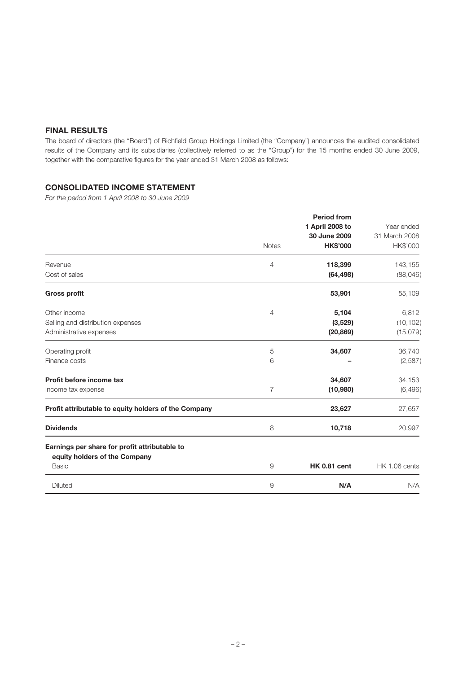## **FINAL RESULTS**

The board of directors (the "Board") of Richfield Group Holdings Limited (the "Company") announces the audited consolidated results of the Company and its subsidiaries (collectively referred to as the "Group") for the 15 months ended 30 June 2009, together with the comparative figures for the year ended 31 March 2008 as follows:

## **CONSOLIDATED INCOME STATEMENT**

*For the period from 1 April 2008 to 30 June 2009*

|                                                                                                | <b>Notes</b> | <b>Period from</b><br>1 April 2008 to<br>30 June 2009<br><b>HK\$'000</b> | Year ended<br>31 March 2008<br>HK\$'000 |
|------------------------------------------------------------------------------------------------|--------------|--------------------------------------------------------------------------|-----------------------------------------|
| Revenue<br>Cost of sales                                                                       | 4            | 118,399<br>(64, 498)                                                     | 143,155<br>(88,046)                     |
| <b>Gross profit</b>                                                                            |              | 53,901                                                                   | 55,109                                  |
| Other income<br>Selling and distribution expenses<br>Administrative expenses                   | 4            | 5,104<br>(3,529)<br>(20, 869)                                            | 6,812<br>(10, 102)<br>(15,079)          |
| Operating profit<br>Finance costs                                                              | 5<br>6       | 34,607                                                                   | 36,740<br>(2,587)                       |
| Profit before income tax<br>Income tax expense                                                 | 7            | 34,607<br>(10, 980)                                                      | 34,153<br>(6, 496)                      |
| Profit attributable to equity holders of the Company                                           |              | 23,627                                                                   | 27,657                                  |
| <b>Dividends</b>                                                                               | 8            | 10,718                                                                   | 20,997                                  |
| Earnings per share for profit attributable to<br>equity holders of the Company<br><b>Basic</b> | 9            | <b>HK 0.81 cent</b>                                                      | HK 1.06 cents                           |
| <b>Diluted</b>                                                                                 | 9            | N/A                                                                      | N/A                                     |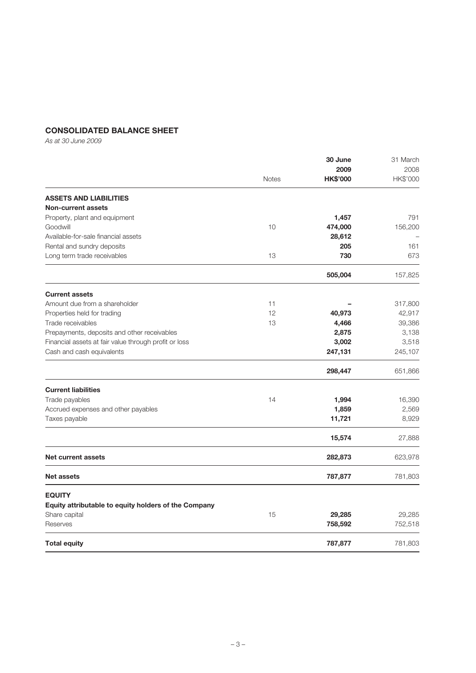## **CONSOLIDATED BALANCE SHEET**

*As at 30 June 2009*

|                                                       |              | 30 June                 | 31 March         |  |
|-------------------------------------------------------|--------------|-------------------------|------------------|--|
|                                                       | <b>Notes</b> | 2009<br><b>HK\$'000</b> | 2008<br>HK\$'000 |  |
| <b>ASSETS AND LIABILITIES</b>                         |              |                         |                  |  |
| <b>Non-current assets</b>                             |              |                         |                  |  |
| Property, plant and equipment                         |              | 1,457                   | 791              |  |
| Goodwill                                              | 10           | 474,000                 | 156,200          |  |
| Available-for-sale financial assets                   |              | 28,612                  |                  |  |
| Rental and sundry deposits                            |              | 205                     | 161              |  |
| Long term trade receivables                           | 13           | 730                     | 673              |  |
|                                                       |              | 505,004                 | 157,825          |  |
| <b>Current assets</b>                                 |              |                         |                  |  |
| Amount due from a shareholder                         | 11           |                         | 317,800          |  |
| Properties held for trading                           | 12           | 40,973                  | 42,917           |  |
| Trade receivables                                     | 13           | 4,466                   | 39,386           |  |
| Prepayments, deposits and other receivables           |              | 2,875                   | 3,138            |  |
| Financial assets at fair value through profit or loss |              | 3,002                   | 3,518            |  |
| Cash and cash equivalents                             |              | 247,131                 | 245,107          |  |
|                                                       |              | 298,447                 | 651,866          |  |
| <b>Current liabilities</b>                            |              |                         |                  |  |
| Trade payables                                        | 14           | 1,994                   | 16,390           |  |
| Accrued expenses and other payables                   |              | 1,859                   | 2,569            |  |
| Taxes payable                                         |              | 11,721                  | 8,929            |  |
|                                                       |              | 15,574                  | 27,888           |  |
| <b>Net current assets</b>                             |              | 282,873                 | 623,978          |  |
| <b>Net assets</b>                                     |              | 787,877                 | 781,803          |  |
| <b>EQUITY</b>                                         |              |                         |                  |  |
| Equity attributable to equity holders of the Company  |              |                         |                  |  |
| Share capital                                         | 15           | 29,285                  | 29,285           |  |
| Reserves                                              |              | 758,592                 | 752,518          |  |
| <b>Total equity</b>                                   |              | 787,877                 | 781,803          |  |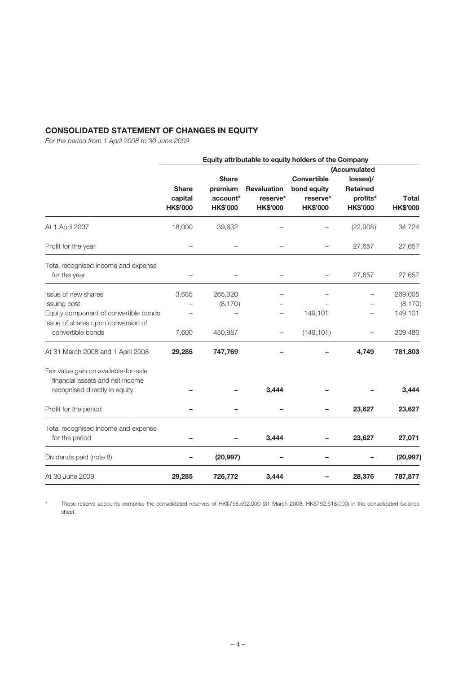# **CONSOLIDATED STATEMENT OF CHANGES IN EQUITY**

*For the period from 1 April 2008 to 30 June 2009*

|                                       |                 |                 |                    | Equity attributable to equity holders of the Company |                 |                 |
|---------------------------------------|-----------------|-----------------|--------------------|------------------------------------------------------|-----------------|-----------------|
|                                       |                 |                 |                    |                                                      | (Accumulated    |                 |
|                                       |                 | <b>Share</b>    |                    | Convertible                                          | losses)/        |                 |
|                                       | Share           | premium         | <b>Revaluation</b> | bond equity                                          | <b>Retained</b> |                 |
|                                       | capital         | account*        | reserve*           | reserve*                                             | profits*        | <b>Total</b>    |
|                                       | <b>HK\$'000</b> | <b>HK\$'000</b> | <b>HK\$'000</b>    | <b>HK\$'000</b>                                      | <b>HK\$'000</b> | <b>HK\$'000</b> |
|                                       |                 |                 |                    |                                                      |                 |                 |
| At 1 April 2007                       | 18,000          | 39,632          |                    |                                                      | (22,908)        | 34,724          |
| Profit for the year                   |                 |                 |                    |                                                      | 27,657          | 27,657          |
| Total recognised income and expense   |                 |                 |                    |                                                      |                 |                 |
| for the year                          |                 |                 |                    |                                                      | 27,657          | 27,657          |
| Issue of new shares                   | 3,685           | 265,320         |                    |                                                      |                 | 269,005         |
| Issuing cost                          |                 | (8, 170)        |                    |                                                      |                 | (8, 170)        |
| Equity component of convertible bonds |                 |                 |                    | 149,101                                              |                 | 149,101         |
| Issue of shares upon conversion of    |                 |                 |                    |                                                      |                 |                 |
|                                       |                 |                 |                    |                                                      |                 |                 |
| convertible bonds                     | 7,600           | 450,987         |                    | (149, 101)                                           |                 | 309,486         |
| At 31 March 2008 and 1 April 2008     | 29,285          | 747,769         |                    |                                                      | 4,749           | 781,803         |
| Fair value gain on available-for-sale |                 |                 |                    |                                                      |                 |                 |
| financial assets and net income       |                 |                 |                    |                                                      |                 |                 |
| recognised directly in equity         |                 |                 | 3,444              |                                                      |                 | 3,444           |
| Profit for the period                 |                 |                 |                    |                                                      | 23,627          | 23,627          |
|                                       |                 |                 |                    |                                                      |                 |                 |
| Total recognised income and expense   |                 |                 | 3,444              |                                                      |                 |                 |
| for the period                        |                 |                 |                    |                                                      | 23,627          | 27,071          |
| Dividends paid (note 8)               |                 | (20, 997)       |                    |                                                      |                 | (20, 997)       |
| At 30 June 2009                       | 29,285          | 726,772         | 3,444              |                                                      | 28,376          | 787,877         |

\* These reserve accounts comprise the consolidated reserves of HK\$758,592,000 (31 March 2008: HK\$752,518,000) in the consolidated balance sheet.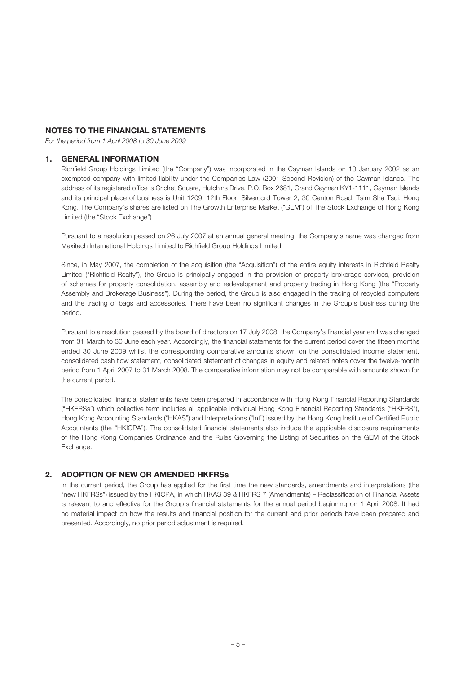## **NOTES TO THE FINANCIAL STATEMENTS**

*For the period from 1 April 2008 to 30 June 2009*

#### **1. GENERAL INFORMATION**

Richfield Group Holdings Limited (the "Company") was incorporated in the Cayman Islands on 10 January 2002 as an exempted company with limited liability under the Companies Law (2001 Second Revision) of the Cayman Islands. The address of its registered office is Cricket Square, Hutchins Drive, P.O. Box 2681, Grand Cayman KY1-1111, Cayman Islands and its principal place of business is Unit 1209, 12th Floor, Silvercord Tower 2, 30 Canton Road, Tsim Sha Tsui, Hong Kong. The Company's shares are listed on The Growth Enterprise Market ("GEM") of The Stock Exchange of Hong Kong Limited (the "Stock Exchange").

Pursuant to a resolution passed on 26 July 2007 at an annual general meeting, the Company's name was changed from Maxitech International Holdings Limited to Richfield Group Holdings Limited.

Since, in May 2007, the completion of the acquisition (the "Acquisition") of the entire equity interests in Richfield Realty Limited ("Richfield Realty"), the Group is principally engaged in the provision of property brokerage services, provision of schemes for property consolidation, assembly and redevelopment and property trading in Hong Kong (the "Property Assembly and Brokerage Business"). During the period, the Group is also engaged in the trading of recycled computers and the trading of bags and accessories. There have been no significant changes in the Group's business during the period.

Pursuant to a resolution passed by the board of directors on 17 July 2008, the Company's financial year end was changed from 31 March to 30 June each year. Accordingly, the financial statements for the current period cover the fifteen months ended 30 June 2009 whilst the corresponding comparative amounts shown on the consolidated income statement, consolidated cash flow statement, consolidated statement of changes in equity and related notes cover the twelve-month period from 1 April 2007 to 31 March 2008. The comparative information may not be comparable with amounts shown for the current period.

The consolidated financial statements have been prepared in accordance with Hong Kong Financial Reporting Standards ("HKFRSs") which collective term includes all applicable individual Hong Kong Financial Reporting Standards ("HKFRS"), Hong Kong Accounting Standards ("HKAS") and Interpretations ("Int") issued by the Hong Kong Institute of Certified Public Accountants (the "HKICPA"). The consolidated financial statements also include the applicable disclosure requirements of the Hong Kong Companies Ordinance and the Rules Governing the Listing of Securities on the GEM of the Stock Exchange.

#### **2. ADOPTION OF NEW OR AMENDED HKFRSs**

In the current period, the Group has applied for the first time the new standards, amendments and interpretations (the "new HKFRSs") issued by the HKICPA, in which HKAS 39 & HKFRS 7 (Amendments) – Reclassification of Financial Assets is relevant to and effective for the Group's financial statements for the annual period beginning on 1 April 2008. It had no material impact on how the results and financial position for the current and prior periods have been prepared and presented. Accordingly, no prior period adjustment is required.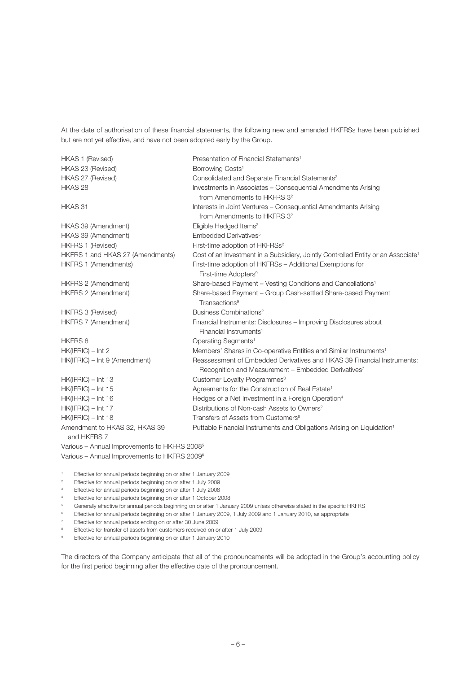At the date of authorisation of these financial statements, the following new and amended HKFRSs have been published but are not yet effective, and have not been adopted early by the Group.

HKAS 1 (Revised) Presentation of Financial Statements1 HKAS 23 (Revised) Borrowing Costs<sup>1</sup> HKAS 27 (Revised) Consolidated and Separate Financial Statements<sup>2</sup> HKAS 28 Investments in Associates – Consequential Amendments Arising from Amendments to HKFRS 3<sup>2</sup> HKAS 31 Interests in Joint Ventures – Consequential Amendments Arising from Amendments to HKFRS 32 HKAS 39 (Amendment) Eligible Hedged Items<sup>2</sup> HKAS 39 (Amendment) Embedded Derivatives<sup>5</sup> HKFRS 1 (Revised) First-time adoption of HKFRSs<sup>2</sup> HKFRS 1 and HKAS 27 (Amendments) Cost of an Investment in a Subsidiary, Jointly Controlled Entity or an Associate<sup>1</sup> HKFRS 1 (Amendments) First-time adoption of HKFRSs – Additional Exemptions for First-time Adopters<sup>9</sup> HKFRS 2 (Amendment) Share-based Payment – Vesting Conditions and Cancellations<sup>1</sup> HKFRS 2 (Amendment) Share-based Payment – Group Cash-settled Share-based Payment Transactions<sup>9</sup> HKFRS 3 (Revised) Business Combinations<sup>2</sup> HKFRS 7 (Amendment) Financial Instruments: Disclosures – Improving Disclosures about Financial Instruments<sup>1</sup> HKFRS 8 Operating Segments<sup>1</sup> HK(IFRIC) – Int 2 Members' Shares in Co-operative Entities and Similar Instruments1 HK(IFRIC) – Int 9 (Amendment) Reassessment of Embedded Derivatives and HKAS 39 Financial Instruments: Recognition and Measurement – Embedded Derivatives<sup>7</sup> HK(IFRIC) – Int 13 Customer Lovalty Programmes<sup>3</sup> HK(IFRIC) – Int 15 Agreements for the Construction of Real Estate<sup>1</sup> HK(IFRIC) – Int 16 Hedges of a Net Investment in a Foreign Operation<sup>4</sup> HK(IFRIC) – Int 17 Distributions of Non-cash Assets to Owners<sup>2</sup>  $HK(IFRIC) - Int 18$  Transfers of Assets from Customers<sup>8</sup> Amendment to HKAS 32, HKAS 39 Puttable Financial Instruments and Obligations Arising on Liquidation<sup>1</sup>

Various – Annual Improvements to HKFRS 20085 Various – Annual Improvements to HKFRS 20096

and HKFRS 7

- 1 Effective for annual periods beginning on or after 1 January 2009
- $\overline{2}$ Effective for annual periods beginning on or after 1 July 2009
- 3 Effective for annual periods beginning on or after 1 July 2008
- 4 Effective for annual periods beginning on or after 1 October 2008
- 5 Generally effective for annual periods beginning on or after 1 January 2009 unless otherwise stated in the specific HKFRS
- 6 Effective for annual periods beginning on or after 1 January 2009, 1 July 2009 and 1 January 2010, as appropriate
- 7 Effective for annual periods ending on or after 30 June 2009
- Effective for transfer of assets from customers received on or after 1 July 2009
- 9 Effective for annual periods beginning on or after 1 January 2010

The directors of the Company anticipate that all of the pronouncements will be adopted in the Group's accounting policy for the first period beginning after the effective date of the pronouncement.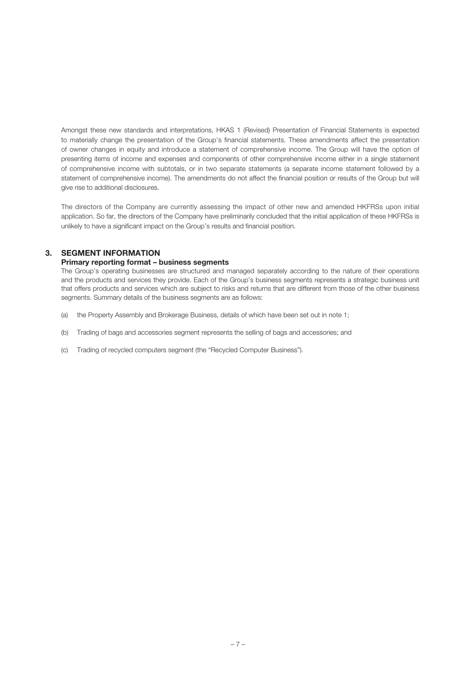Amongst these new standards and interpretations, HKAS 1 (Revised) Presentation of Financial Statements is expected to materially change the presentation of the Group's financial statements. These amendments affect the presentation of owner changes in equity and introduce a statement of comprehensive income. The Group will have the option of presenting items of income and expenses and components of other comprehensive income either in a single statement of comprehensive income with subtotals, or in two separate statements (a separate income statement followed by a statement of comprehensive income). The amendments do not affect the financial position or results of the Group but will give rise to additional disclosures.

The directors of the Company are currently assessing the impact of other new and amended HKFRSs upon initial application. So far, the directors of the Company have preliminarily concluded that the initial application of these HKFRSs is unlikely to have a significant impact on the Group's results and financial position.

# **3. SEGMENT INFORMATION**

#### **Primary reporting format – business segments**

The Group's operating businesses are structured and managed separately according to the nature of their operations and the products and services they provide. Each of the Group's business segments represents a strategic business unit that offers products and services which are subject to risks and returns that are different from those of the other business segments. Summary details of the business segments are as follows:

- (a) the Property Assembly and Brokerage Business, details of which have been set out in note 1;
- (b) Trading of bags and accessories segment represents the selling of bags and accessories; and
- (c) Trading of recycled computers segment (the "Recycled Computer Business").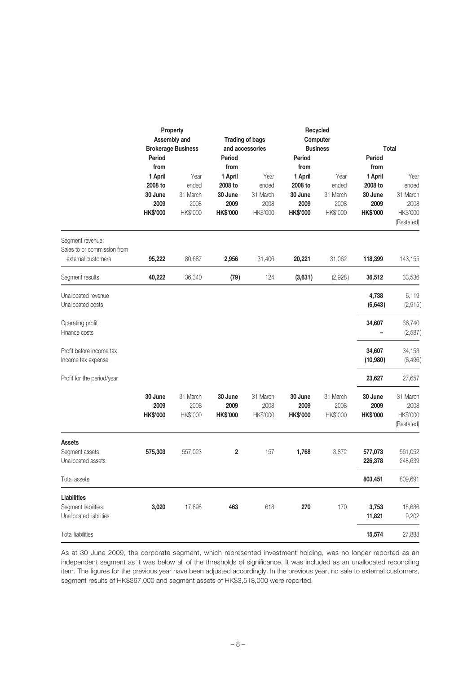|                                                                       | Period                                                           | Property<br>Assembly and<br><b>Brokerage Business</b> | and accessories<br>Period                                        | <b>Trading of bags</b>                        | Recycled<br>Computer<br><b>Business</b><br>Period                |                                               | Period                                                           | <b>Total</b>                                                |
|-----------------------------------------------------------------------|------------------------------------------------------------------|-------------------------------------------------------|------------------------------------------------------------------|-----------------------------------------------|------------------------------------------------------------------|-----------------------------------------------|------------------------------------------------------------------|-------------------------------------------------------------|
|                                                                       | from<br>1 April<br>2008 to<br>30 June<br>2009<br><b>HK\$'000</b> | Year<br>ended<br>31 March<br>2008<br>HK\$'000         | from<br>1 April<br>2008 to<br>30 June<br>2009<br><b>HK\$'000</b> | Year<br>ended<br>31 March<br>2008<br>HK\$'000 | from<br>1 April<br>2008 to<br>30 June<br>2009<br><b>HK\$'000</b> | Year<br>ended<br>31 March<br>2008<br>HK\$'000 | from<br>1 April<br>2008 to<br>30 June<br>2009<br><b>HK\$'000</b> | Year<br>ended<br>31 March<br>2008<br>HK\$'000<br>(Restated) |
| Segment revenue:<br>Sales to or commission from<br>external customers | 95,222                                                           | 80,687                                                | 2,956                                                            | 31,406                                        | 20,221                                                           | 31,062                                        | 118,399                                                          | 143,155                                                     |
| Segment results                                                       | 40,222                                                           | 36,340                                                | (79)                                                             | 124                                           | (3,631)                                                          | (2,928)                                       | 36,512                                                           | 33,536                                                      |
| Unallocated revenue<br>Unallocated costs                              |                                                                  |                                                       |                                                                  |                                               |                                                                  |                                               | 4,738<br>(6,643)                                                 | 6,119<br>(2,915)                                            |
| Operating profit<br>Finance costs                                     |                                                                  |                                                       |                                                                  |                                               |                                                                  |                                               | 34,607                                                           | 36,740<br>(2,587)                                           |
| Profit before income tax<br>Income tax expense                        |                                                                  |                                                       |                                                                  |                                               |                                                                  |                                               | 34,607<br>(10,980)                                               | 34,153<br>(6, 496)                                          |
| Profit for the period/year                                            |                                                                  |                                                       |                                                                  |                                               |                                                                  |                                               | 23,627                                                           | 27,657                                                      |
|                                                                       | 30 June<br>2009<br><b>HK\$'000</b>                               | 31 March<br>2008<br>HK\$'000                          | 30 June<br>2009<br><b>HK\$'000</b>                               | 31 March<br>2008<br>HK\$'000                  | 30 June<br>2009<br><b>HK\$'000</b>                               | 31 March<br>2008<br>HK\$'000                  | 30 June<br>2009<br><b>HK\$'000</b>                               | 31 March<br>2008<br>HK\$'000<br>(Restated)                  |
| <b>Assets</b><br>Segment assets<br>Unallocated assets                 | 575,303                                                          | 557,023                                               | $\overline{\mathbf{2}}$                                          | 157                                           | 1,768                                                            | 3,872                                         | 577,073<br>226,378                                               | 561,052<br>248,639                                          |
| Total assets                                                          |                                                                  |                                                       |                                                                  |                                               |                                                                  |                                               | 803,451                                                          | 809,691                                                     |
| <b>Liabilities</b><br>Segment liabilities<br>Unallocated liabilities  | 3,020                                                            | 17,898                                                | 463                                                              | 618                                           | 270                                                              | 170                                           | 3,753<br>11,821                                                  | 18,686<br>9,202                                             |
| <b>Total liabilities</b>                                              |                                                                  |                                                       |                                                                  |                                               |                                                                  |                                               | 15,574                                                           | 27,888                                                      |

As at 30 June 2009, the corporate segment, which represented investment holding, was no longer reported as an independent segment as it was below all of the thresholds of significance. It was included as an unallocated reconciling item. The figures for the previous year have been adjusted accordingly. In the previous year, no sale to external customers, segment results of HK\$367,000 and segment assets of HK\$3,518,000 were reported.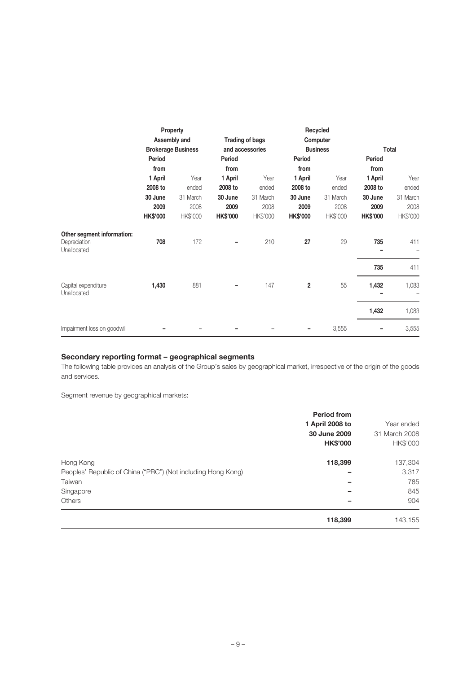|                                                           |                 | Property<br>Assembly and<br><b>Brokerage Business</b> |                 | Trading of bags<br>and accessories |                 | Recycled<br>Computer<br><b>Business</b> |                 | Total    |
|-----------------------------------------------------------|-----------------|-------------------------------------------------------|-----------------|------------------------------------|-----------------|-----------------------------------------|-----------------|----------|
|                                                           | Period          |                                                       | Period          |                                    | Period          |                                         | Period          |          |
|                                                           | from            |                                                       | from            |                                    | from            |                                         | from            |          |
|                                                           | 1 April         | Year                                                  | 1 April         | Year                               | 1 April         | Year                                    | 1 April         | Year     |
|                                                           | 2008 to         | ended                                                 | 2008 to         | ended                              | 2008 to         | ended                                   | 2008 to         | ended    |
|                                                           | 30 June         | 31 March                                              | 30 June         | 31 March                           | 30 June         | 31 March                                | 30 June         | 31 March |
|                                                           | 2009            | 2008                                                  | 2009            | 2008                               | 2009            | 2008                                    | 2009            | 2008     |
|                                                           | <b>HK\$'000</b> | HK\$'000                                              | <b>HK\$'000</b> | HK\$'000                           | <b>HK\$'000</b> | HK\$'000                                | <b>HK\$'000</b> | HK\$'000 |
| Other segment information:<br>Depreciation<br>Unallocated | 708             | 172                                                   |                 | 210                                | 27              | 29                                      | 735<br>-        | 411      |
|                                                           |                 |                                                       |                 |                                    |                 |                                         | 735             | 411      |
| Capital expenditure<br>Unallocated                        | 1,430           | 881                                                   |                 | 147                                | $\overline{2}$  | 55                                      | 1,432           | 1,083    |
|                                                           |                 |                                                       |                 |                                    |                 |                                         | 1,432           | 1,083    |
| Impairment loss on goodwill                               |                 |                                                       |                 |                                    |                 | 3,555                                   |                 | 3,555    |

## **Secondary reporting format – geographical segments**

The following table provides an analysis of the Group's sales by geographical market, irrespective of the origin of the goods and services.

Segment revenue by geographical markets:

|                                                              | <b>Period from</b><br>1 April 2008 to<br>30 June 2009<br><b>HK\$'000</b> | Year ended<br>31 March 2008<br>HK\$'000 |
|--------------------------------------------------------------|--------------------------------------------------------------------------|-----------------------------------------|
| Hong Kong                                                    | 118,399                                                                  | 137,304                                 |
| Peoples' Republic of China ("PRC") (Not including Hong Kong) |                                                                          | 3,317                                   |
| Taiwan                                                       |                                                                          | 785                                     |
| Singapore                                                    |                                                                          | 845                                     |
| <b>Others</b>                                                |                                                                          | 904                                     |
|                                                              | 118,399                                                                  | 143,155                                 |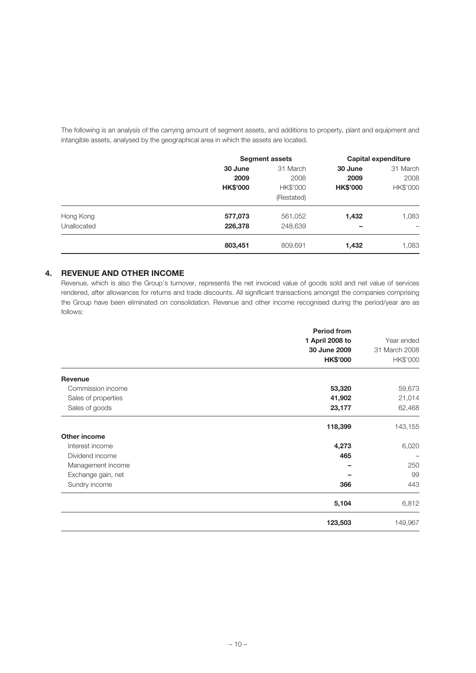The following is an analysis of the carrying amount of segment assets, and additions to property, plant and equipment and intangible assets, analysed by the geographical area in which the assets are located.

|             |                 | <b>Segment assets</b> |                 | Capital expenditure |
|-------------|-----------------|-----------------------|-----------------|---------------------|
|             | 30 June         | 31 March              | 30 June         | 31 March            |
|             | 2009            | 2008                  | 2009            | 2008                |
|             | <b>HK\$'000</b> | HK\$'000              | <b>HK\$'000</b> | HK\$'000            |
|             |                 | (Restated)            |                 |                     |
| Hong Kong   | 577,073         | 561,052               | 1,432           | 1,083               |
| Unallocated | 226,378         | 248,639               | -               |                     |
|             | 803,451         | 809,691               | 1,432           | 1,083               |

# **4. REVENUE AND OTHER INCOME**

Revenue, which is also the Group's turnover, represents the net invoiced value of goods sold and net value of services rendered, after allowances for returns and trade discounts. All significant transactions amongst the companies comprising the Group have been eliminated on consolidation. Revenue and other income recognised during the period/year are as follows:

|                     | <b>Period from</b><br>1 April 2008 to<br>30 June 2009<br><b>HK\$'000</b> | Year ended<br>31 March 2008<br>HK\$'000 |
|---------------------|--------------------------------------------------------------------------|-----------------------------------------|
|                     |                                                                          |                                         |
| Revenue             |                                                                          |                                         |
| Commission income   | 53,320                                                                   | 59,673                                  |
| Sales of properties | 41,902                                                                   | 21,014                                  |
| Sales of goods      | 23,177                                                                   | 62,468                                  |
|                     | 118,399                                                                  | 143,155                                 |
| <b>Other income</b> |                                                                          |                                         |
| Interest income     | 4,273                                                                    | 6,020                                   |
| Dividend income     | 465                                                                      |                                         |
| Management income   |                                                                          | 250                                     |
| Exchange gain, net  |                                                                          | 99                                      |
| Sundry income       | 366                                                                      | 443                                     |
|                     | 5,104                                                                    | 6,812                                   |
|                     | 123,503                                                                  | 149,967                                 |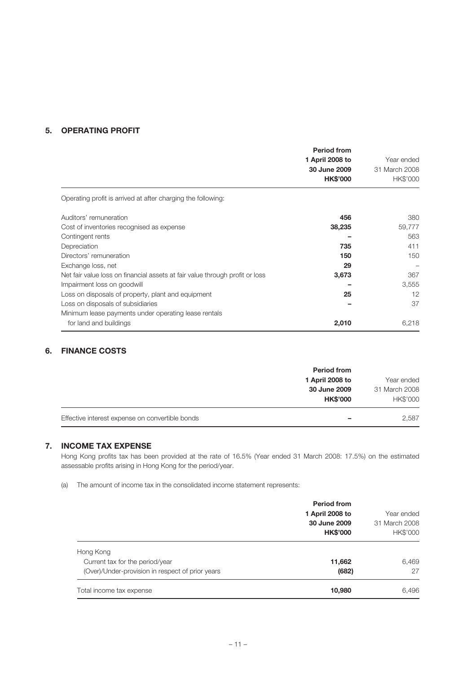# **5. OPERATING PROFIT**

|                                                                              | <b>Period from</b><br>1 April 2008 to<br>30 June 2009<br><b>HK\$'000</b> | Year ended<br>31 March 2008<br>HK\$'000 |
|------------------------------------------------------------------------------|--------------------------------------------------------------------------|-----------------------------------------|
| Operating profit is arrived at after charging the following:                 |                                                                          |                                         |
| Auditors' remuneration                                                       | 456                                                                      | 380                                     |
| Cost of inventories recognised as expense                                    | 38,235                                                                   | 59,777                                  |
| Contingent rents                                                             |                                                                          | 563                                     |
| Depreciation                                                                 | 735                                                                      | 411                                     |
| Directors' remuneration                                                      | 150                                                                      | 150                                     |
| Exchange loss, net                                                           | 29                                                                       |                                         |
| Net fair value loss on financial assets at fair value through profit or loss | 3,673                                                                    | 367                                     |
| Impairment loss on goodwill                                                  |                                                                          | 3,555                                   |
| Loss on disposals of property, plant and equipment                           | 25                                                                       | 12                                      |
| Loss on disposals of subsidiaries                                            |                                                                          | 37                                      |
| Minimum lease payments under operating lease rentals                         |                                                                          |                                         |
| for land and buildings                                                       | 2,010                                                                    | 6,218                                   |

## **6. FINANCE COSTS**

|                                                 | <b>Period from</b><br>1 April 2008 to | Year ended                       |
|-------------------------------------------------|---------------------------------------|----------------------------------|
|                                                 | 30 June 2009<br><b>HK\$'000</b>       | 31 March 2008<br><b>HK\$'000</b> |
| Effective interest expense on convertible bonds | -                                     | 2.587                            |

## **7. INCOME TAX EXPENSE**

Hong Kong profits tax has been provided at the rate of 16.5% (Year ended 31 March 2008: 17.5%) on the estimated assessable profits arising in Hong Kong for the period/year.

(a) The amount of income tax in the consolidated income statement represents:

|                                                                                     | <b>Period from</b><br>1 April 2008 to<br>30 June 2009<br><b>HK\$'000</b> | Year ended<br>31 March 2008<br>HK\$'000 |
|-------------------------------------------------------------------------------------|--------------------------------------------------------------------------|-----------------------------------------|
| Hong Kong                                                                           |                                                                          |                                         |
| Current tax for the period/year<br>(Over)/Under-provision in respect of prior years | 11,662<br>(682)                                                          | 6,469<br>27                             |
| Total income tax expense                                                            | 10,980                                                                   | 6,496                                   |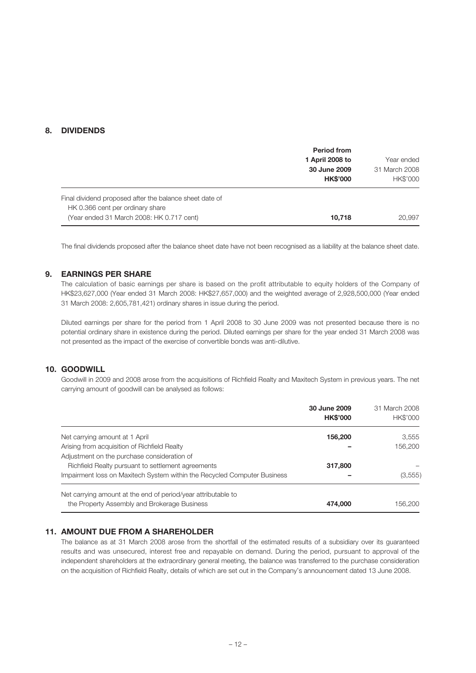## **8. DIVIDENDS**

|                                                         | <b>Period from</b> |                 |
|---------------------------------------------------------|--------------------|-----------------|
|                                                         | 1 April 2008 to    | Year ended      |
|                                                         | 30 June 2009       | 31 March 2008   |
|                                                         | <b>HK\$'000</b>    | <b>HK\$'000</b> |
| Final dividend proposed after the balance sheet date of |                    |                 |
| HK 0.366 cent per ordinary share                        |                    |                 |
| (Year ended 31 March 2008: HK 0.717 cent)               | 10,718             | 20,997          |

The final dividends proposed after the balance sheet date have not been recognised as a liability at the balance sheet date.

### **9. EARNINGS PER SHARE**

The calculation of basic earnings per share is based on the profit attributable to equity holders of the Company of HK\$23,627,000 (Year ended 31 March 2008: HK\$27,657,000) and the weighted average of 2,928,500,000 (Year ended 31 March 2008: 2,605,781,421) ordinary shares in issue during the period.

Diluted earnings per share for the period from 1 April 2008 to 30 June 2009 was not presented because there is no potential ordinary share in existence during the period. Diluted earnings per share for the year ended 31 March 2008 was not presented as the impact of the exercise of convertible bonds was anti-dilutive.

## **10. GOODWILL**

Goodwill in 2009 and 2008 arose from the acquisitions of Richfield Realty and Maxitech System in previous years. The net carrying amount of goodwill can be analysed as follows:

|                                                                                                               | 30 June 2009<br><b>HK\$'000</b> | 31 March 2008<br>HK\$'000 |
|---------------------------------------------------------------------------------------------------------------|---------------------------------|---------------------------|
| Net carrying amount at 1 April                                                                                | 156,200                         | 3,555                     |
| Arising from acquisition of Richfield Realty                                                                  |                                 | 156,200                   |
| Adjustment on the purchase consideration of                                                                   |                                 |                           |
| Richfield Realty pursuant to settlement agreements                                                            | 317,800                         |                           |
| Impairment loss on Maxitech System within the Recycled Computer Business                                      |                                 | (3,555)                   |
| Net carrying amount at the end of period/year attributable to<br>the Property Assembly and Brokerage Business | 474.000                         | 156.200                   |

#### **11. AMOUNT DUE FROM A SHAREHOLDER**

The balance as at 31 March 2008 arose from the shortfall of the estimated results of a subsidiary over its guaranteed results and was unsecured, interest free and repayable on demand. During the period, pursuant to approval of the independent shareholders at the extraordinary general meeting, the balance was transferred to the purchase consideration on the acquisition of Richfield Realty, details of which are set out in the Company's announcement dated 13 June 2008.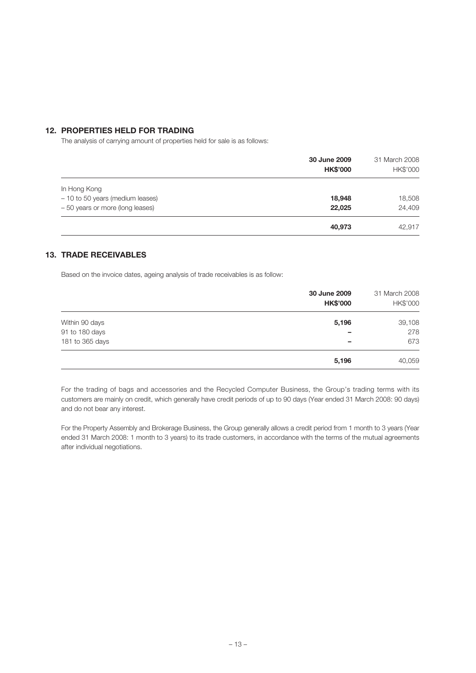### **12. PROPERTIES HELD FOR TRADING**

The analysis of carrying amount of properties held for sale is as follows:

|                                  | 30 June 2009<br><b>HK\$'000</b> | 31 March 2008<br>HK\$'000 |
|----------------------------------|---------------------------------|---------------------------|
| In Hong Kong                     |                                 |                           |
| - 10 to 50 years (medium leases) | 18,948                          | 18,508                    |
| - 50 years or more (long leases) | 22,025                          | 24,409                    |
|                                  | 40,973                          | 42,917                    |

## **13. TRADE RECEIVABLES**

Based on the invoice dates, ageing analysis of trade receivables is as follow:

|                 | 30 June 2009<br><b>HK\$'000</b> | 31 March 2008<br>HK\$'000 |
|-----------------|---------------------------------|---------------------------|
| Within 90 days  | 5,196                           | 39,108                    |
| 91 to 180 days  | -                               | 278                       |
| 181 to 365 days | -                               | 673                       |
|                 | 5,196                           | 40,059                    |

For the trading of bags and accessories and the Recycled Computer Business, the Group's trading terms with its customers are mainly on credit, which generally have credit periods of up to 90 days (Year ended 31 March 2008: 90 days) and do not bear any interest.

For the Property Assembly and Brokerage Business, the Group generally allows a credit period from 1 month to 3 years (Year ended 31 March 2008: 1 month to 3 years) to its trade customers, in accordance with the terms of the mutual agreements after individual negotiations.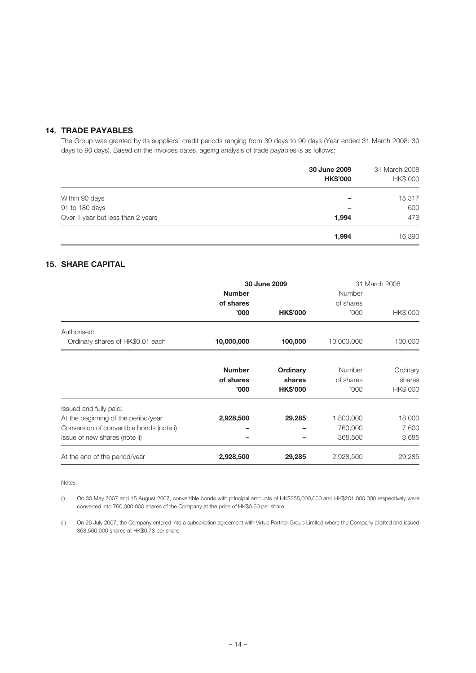# **14. TRADE PAYABLES**

The Group was granted by its suppliers' credit periods ranging from 30 days to 90 days (Year ended 31 March 2008: 30 days to 90 days). Based on the invoices dates, ageing analysis of trade payables is as follows:

|                                   | 30 June 2009<br><b>HK\$'000</b> | 31 March 2008<br>HK\$'000 |  |
|-----------------------------------|---------------------------------|---------------------------|--|
| Within 90 days                    | -                               | 15,317                    |  |
| 91 to 180 days                    |                                 | 600                       |  |
| Over 1 year but less than 2 years | 1,994                           | 473                       |  |
|                                   | 1,994                           | 16,390                    |  |

# **15. SHARE CAPITAL**

|                                          | 30 June 2009  |                 | 31 March 2008 |          |
|------------------------------------------|---------------|-----------------|---------------|----------|
|                                          | <b>Number</b> |                 | Number        |          |
|                                          | of shares     |                 | of shares     |          |
|                                          | '000'         | <b>HK\$'000</b> | '000          | HK\$'000 |
| Authorised:                              |               |                 |               |          |
| Ordinary shares of HK\$0.01 each         | 10,000,000    | 100,000         | 10,000,000    | 100,000  |
|                                          |               |                 |               |          |
|                                          | <b>Number</b> | Ordinary        | Number        | Ordinary |
|                                          | of shares     | shares          | of shares     | shares   |
|                                          | '000'         | <b>HK\$'000</b> | '000          | HK\$'000 |
| Issued and fully paid:                   |               |                 |               |          |
| At the beginning of the period/year      | 2,928,500     | 29,285          | 1,800,000     | 18,000   |
| Conversion of convertible bonds (note i) |               |                 | 760,000       | 7,600    |
| Issue of new shares (note ii)            |               |                 | 368,500       | 3,685    |
| At the end of the period/year            | 2,928,500     | 29,285          | 2,928,500     | 29,285   |

Notes:

(i) On 30 May 2007 and 15 August 2007, convertible bonds with principal amounts of HK\$255,000,000 and HK\$201,000,000 respectively were converted into 760,000,000 shares of the Company at the price of HK\$0.60 per share.

(ii) On 26 July 2007, the Company entered into a subscription agreement with Virtue Partner Group Limited where the Company allotted and issued 368,500,000 shares at HK\$0.73 per share.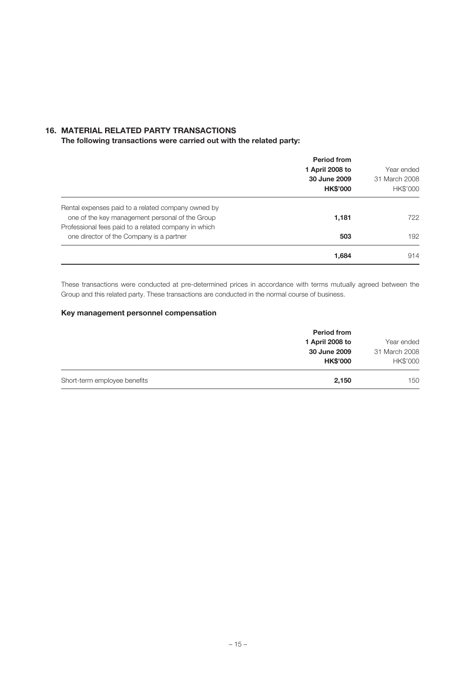## **16. MATERIAL RELATED PARTY TRANSACTIONS**

**The following transactions were carried out with the related party:**

|                                                      | <b>Period from</b><br>1 April 2008 to<br>30 June 2009<br><b>HK\$'000</b> | Year ended<br>31 March 2008<br>HK\$'000 |
|------------------------------------------------------|--------------------------------------------------------------------------|-----------------------------------------|
| Rental expenses paid to a related company owned by   |                                                                          |                                         |
| one of the key management personal of the Group      | 1,181                                                                    | 722                                     |
| Professional fees paid to a related company in which |                                                                          |                                         |
| one director of the Company is a partner             | 503                                                                      | 192                                     |
|                                                      | 1,684                                                                    | 914                                     |

These transactions were conducted at pre-determined prices in accordance with terms mutually agreed between the Group and this related party. These transactions are conducted in the normal course of business.

## **Key management personnel compensation**

|                              | <b>Period from</b> |               |
|------------------------------|--------------------|---------------|
|                              | 1 April 2008 to    | Year ended    |
|                              | 30 June 2009       | 31 March 2008 |
|                              | <b>HK\$'000</b>    | HK\$'000      |
| Short-term employee benefits | 2,150              | 150           |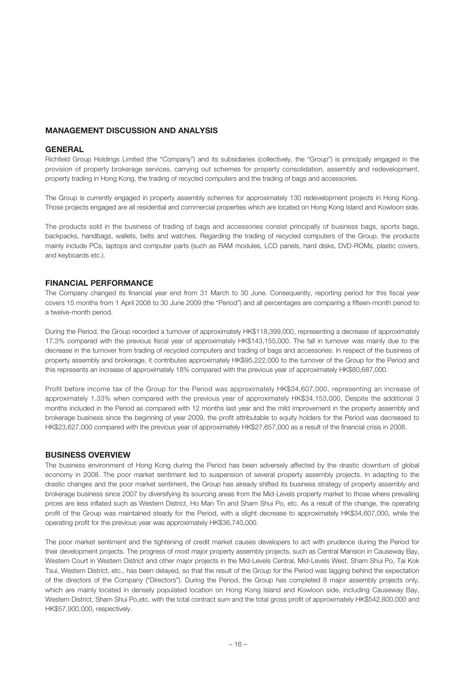#### **MANAGEMENT DISCUSSION AND ANALYSIS**

#### **GENERAL**

Richfield Group Holdings Limited (the "Company") and its subsidiaries (collectively, the "Group") is principally engaged in the provision of property brokerage services, carrying out schemes for property consolidation, assembly and redevelopment, property trading in Hong Kong, the trading of recycled computers and the trading of bags and accessories.

The Group is currently engaged in property assembly schemes for approximately 130 redevelopment projects in Hong Kong. Those projects engaged are all residential and commercial properties which are located on Hong Kong Island and Kowloon side.

The products sold in the business of trading of bags and accessories consist principally of business bags, sports bags, backpacks, handbags, wallets, belts and watches. Regarding the trading of recycled computers of the Group, the products mainly include PCs, laptops and computer parts (such as RAM modules, LCD panels, hard disks, DVD-ROMs, plastic covers, and keyboards etc.).

#### **FINANCIAL PERFORMANCE**

The Company changed its financial year end from 31 March to 30 June. Consequently, reporting period for this fiscal year covers 15 months from 1 April 2008 to 30 June 2009 (the "Period") and all percentages are comparing a fifteen-month period to a twelve-month period.

During the Period, the Group recorded a turnover of approximately HK\$118,399,000, representing a decrease of approximately 17.3% compared with the previous fiscal year of approximately HK\$143,155,000. The fall in turnover was mainly due to the decrease in the turnover from trading of recycled computers and trading of bags and accessories. In respect of the business of property assembly and brokerage, it contributes approximately HK\$95,222,000 to the turnover of the Group for the Period and this represents an increase of approximately 18% compared with the previous year of approximately HK\$80,687,000.

Profit before income tax of the Group for the Period was approximately HK\$34,607,000, representing an increase of approximately 1.33% when compared with the previous year of approximately HK\$34,153,000, Despite the additional 3 months included in the Period as compared with 12 months last year and the mild improvement in the property assembly and brokerage business since the beginning of year 2009, the profit attributable to equity holders for the Period was decreased to HK\$23,627,000 compared with the previous year of approximately HK\$27,657,000 as a result of the financial crisis in 2008.

#### **BUSINESS OVERVIEW**

The business environment of Hong Kong during the Period has been adversely affected by the drastic downturn of global economy in 2008. The poor market sentiment led to suspension of several property assembly projects. In adapting to the drastic changes and the poor market sentiment, the Group has already shifted its business strategy of property assembly and brokerage business since 2007 by diversifying its sourcing areas from the Mid-Levels property market to those where prevailing prices are less inflated such as Western District, Ho Man Tin and Sham Shui Po, etc. As a result of the change, the operating profit of the Group was maintained steady for the Period, with a slight decrease to approximately HK\$34,607,000, while the operating profit for the previous year was approximately HK\$36,740,000.

The poor market sentiment and the tightening of credit market causes developers to act with prudence during the Period for their development projects. The progress of most major property assembly projects, such as Central Mansion in Causeway Bay, Western Court in Western District and other major projects in the Mid-Levels Central, Mid-Levels West, Sham Shui Po, Tai Kok Tsui, Western District, etc., has been delayed, so that the result of the Group for the Period was lagging behind the expectation of the directors of the Company ("Directors"). During the Period, the Group has completed 8 major assembly projects only, which are mainly located in densely populated location on Hong Kong Island and Kowloon side, including Causeway Bay, Western District, Sham Shui Po,etc. with the total contract sum and the total gross profit of approximately HK\$542,800,000 and HK\$57,900,000, respectively.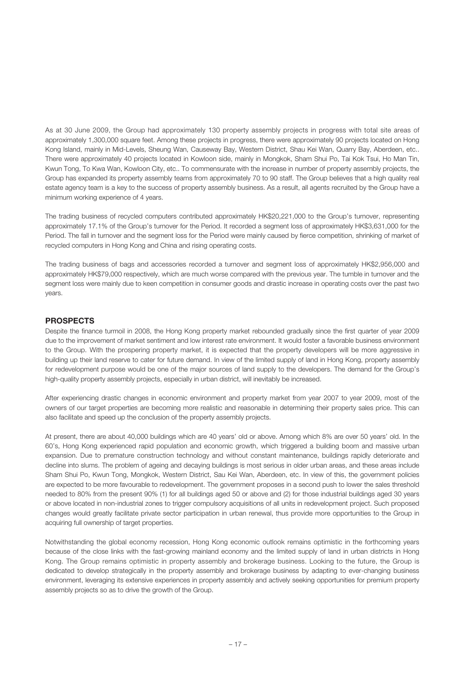As at 30 June 2009, the Group had approximately 130 property assembly projects in progress with total site areas of approximately 1,300,000 square feet. Among these projects in progress, there were approximately 90 projects located on Hong Kong Island, mainly in Mid-Levels, Sheung Wan, Causeway Bay, Western District, Shau Kei Wan, Quarry Bay, Aberdeen, etc.. There were approximately 40 projects located in Kowloon side, mainly in Mongkok, Sham Shui Po, Tai Kok Tsui, Ho Man Tin, Kwun Tong, To Kwa Wan, Kowloon City, etc.. To commensurate with the increase in number of property assembly projects, the Group has expanded its property assembly teams from approximately 70 to 90 staff. The Group believes that a high quality real estate agency team is a key to the success of property assembly business. As a result, all agents recruited by the Group have a minimum working experience of 4 years.

The trading business of recycled computers contributed approximately HK\$20,221,000 to the Group's turnover, representing approximately 17.1% of the Group's turnover for the Period. It recorded a segment loss of approximately HK\$3,631,000 for the Period. The fall in turnover and the segment loss for the Period were mainly caused by fierce competition, shrinking of market of recycled computers in Hong Kong and China and rising operating costs.

The trading business of bags and accessories recorded a turnover and segment loss of approximately HK\$2,956,000 and approximately HK\$79,000 respectively, which are much worse compared with the previous year. The tumble in turnover and the segment loss were mainly due to keen competition in consumer goods and drastic increase in operating costs over the past two years.

#### **PROSPECTS**

Despite the finance turmoil in 2008, the Hong Kong property market rebounded gradually since the first quarter of year 2009 due to the improvement of market sentiment and low interest rate environment. It would foster a favorable business environment to the Group. With the prospering property market, it is expected that the property developers will be more aggressive in building up their land reserve to cater for future demand. In view of the limited supply of land in Hong Kong, property assembly for redevelopment purpose would be one of the major sources of land supply to the developers. The demand for the Group's high-quality property assembly projects, especially in urban district, will inevitably be increased.

After experiencing drastic changes in economic environment and property market from year 2007 to year 2009, most of the owners of our target properties are becoming more realistic and reasonable in determining their property sales price. This can also facilitate and speed up the conclusion of the property assembly projects.

At present, there are about 40,000 buildings which are 40 years' old or above. Among which 8% are over 50 years' old. In the 60's, Hong Kong experienced rapid population and economic growth, which triggered a building boom and massive urban expansion. Due to premature construction technology and without constant maintenance, buildings rapidly deteriorate and decline into slums. The problem of ageing and decaying buildings is most serious in older urban areas, and these areas include Sham Shui Po, Kwun Tong, Mongkok, Western District, Sau Kei Wan, Aberdeen, etc. In view of this, the government policies are expected to be more favourable to redevelopment. The government proposes in a second push to lower the sales threshold needed to 80% from the present 90% (1) for all buildings aged 50 or above and (2) for those industrial buildings aged 30 years or above located in non-industrial zones to trigger compulsory acquisitions of all units in redevelopment project. Such proposed changes would greatly facilitate private sector participation in urban renewal, thus provide more opportunities to the Group in acquiring full ownership of target properties.

Notwithstanding the global economy recession, Hong Kong economic outlook remains optimistic in the forthcoming years because of the close links with the fast-growing mainland economy and the limited supply of land in urban districts in Hong Kong. The Group remains optimistic in property assembly and brokerage business. Looking to the future, the Group is dedicated to develop strategically in the property assembly and brokerage business by adapting to ever-changing business environment, leveraging its extensive experiences in property assembly and actively seeking opportunities for premium property assembly projects so as to drive the growth of the Group.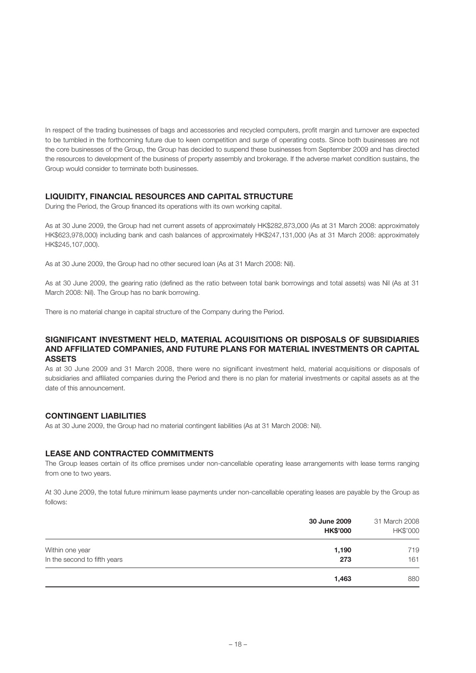In respect of the trading businesses of bags and accessories and recycled computers, profit margin and turnover are expected to be tumbled in the forthcoming future due to keen competition and surge of operating costs. Since both businesses are not the core businesses of the Group, the Group has decided to suspend these businesses from September 2009 and has directed the resources to development of the business of property assembly and brokerage. If the adverse market condition sustains, the Group would consider to terminate both businesses.

### **LIQUIDITY, FINANCIAL RESOURCES AND CAPITAL STRUCTURE**

During the Period, the Group financed its operations with its own working capital.

As at 30 June 2009, the Group had net current assets of approximately HK\$282,873,000 (As at 31 March 2008: approximately HK\$623,978,000) including bank and cash balances of approximately HK\$247,131,000 (As at 31 March 2008: approximately HK\$245,107,000).

As at 30 June 2009, the Group had no other secured loan (As at 31 March 2008: Nil).

As at 30 June 2009, the gearing ratio (defined as the ratio between total bank borrowings and total assets) was Nil (As at 31 March 2008: Nil). The Group has no bank borrowing.

There is no material change in capital structure of the Company during the Period.

#### **SIGNIFICANT INVESTMENT HELD, MATERIAL ACQUISITIONS OR DISPOSALS OF SUBSIDIARIES AND AFFILIATED COMPANIES, AND FUTURE PLANS FOR MATERIAL INVESTMENTS OR CAPITAL ASSETS**

As at 30 June 2009 and 31 March 2008, there were no significant investment held, material acquisitions or disposals of subsidiaries and affiliated companies during the Period and there is no plan for material investments or capital assets as at the date of this announcement.

### **CONTINGENT LIABILITIES**

As at 30 June 2009, the Group had no material contingent liabilities (As at 31 March 2008: Nil).

### **LEASE AND CONTRACTED COMMITMENTS**

The Group leases certain of its office premises under non-cancellable operating lease arrangements with lease terms ranging from one to two years.

At 30 June 2009, the total future minimum lease payments under non-cancellable operating leases are payable by the Group as follows:

|                              | 30 June 2009<br><b>HK\$'000</b> | 31 March 2008<br>HK\$'000 |
|------------------------------|---------------------------------|---------------------------|
| Within one year              | 1,190                           | 719                       |
| In the second to fifth years | 273                             | 161                       |
|                              | 1,463                           | 880                       |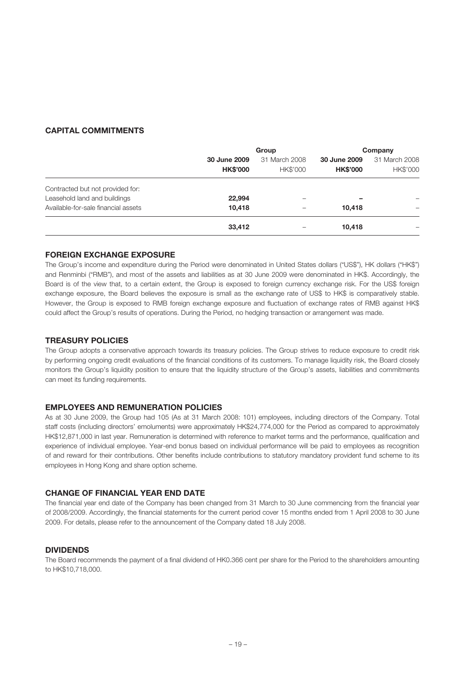## **CAPITAL COMMITMENTS**

|                                     | Group                           |                           | Company                         |                           |
|-------------------------------------|---------------------------------|---------------------------|---------------------------------|---------------------------|
|                                     | 30 June 2009<br><b>HK\$'000</b> | 31 March 2008<br>HK\$'000 | 30 June 2009<br><b>HK\$'000</b> | 31 March 2008<br>HK\$'000 |
| Contracted but not provided for:    |                                 |                           |                                 |                           |
| Leasehold land and buildings        | 22,994                          |                           |                                 |                           |
| Available-for-sale financial assets | 10,418                          |                           | 10.418                          |                           |
|                                     | 33,412                          |                           | 10.418                          |                           |

## **FOREIGN EXCHANGE EXPOSURE**

The Group's income and expenditure during the Period were denominated in United States dollars ("US\$"), HK dollars ("HK\$") and Renminbi ("RMB"), and most of the assets and liabilities as at 30 June 2009 were denominated in HK\$. Accordingly, the Board is of the view that, to a certain extent, the Group is exposed to foreign currency exchange risk. For the US\$ foreign exchange exposure, the Board believes the exposure is small as the exchange rate of US\$ to HK\$ is comparatively stable. However, the Group is exposed to RMB foreign exchange exposure and fluctuation of exchange rates of RMB against HK\$ could affect the Group's results of operations. During the Period, no hedging transaction or arrangement was made.

## **TREASURY POLICIES**

The Group adopts a conservative approach towards its treasury policies. The Group strives to reduce exposure to credit risk by performing ongoing credit evaluations of the financial conditions of its customers. To manage liquidity risk, the Board closely monitors the Group's liquidity position to ensure that the liquidity structure of the Group's assets, liabilities and commitments can meet its funding requirements.

## **EMPLOYEES AND REMUNERATION POLICIES**

As at 30 June 2009, the Group had 105 (As at 31 March 2008: 101) employees, including directors of the Company. Total staff costs (including directors' emoluments) were approximately HK\$24,774,000 for the Period as compared to approximately HK\$12,871,000 in last year. Remuneration is determined with reference to market terms and the performance, qualification and experience of individual employee. Year-end bonus based on individual performance will be paid to employees as recognition of and reward for their contributions. Other benefits include contributions to statutory mandatory provident fund scheme to its employees in Hong Kong and share option scheme.

## **CHANGE OF FINANCIAL YEAR END DATE**

The financial year end date of the Company has been changed from 31 March to 30 June commencing from the financial year of 2008/2009. Accordingly, the financial statements for the current period cover 15 months ended from 1 April 2008 to 30 June 2009. For details, please refer to the announcement of the Company dated 18 July 2008.

## **DIVIDENDS**

The Board recommends the payment of a final dividend of HK0.366 cent per share for the Period to the shareholders amounting to HK\$10,718,000.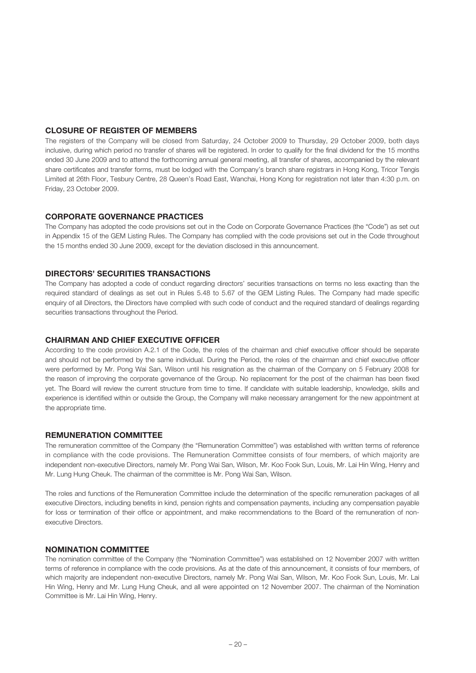### **CLOSURE OF REGISTER OF MEMBERS**

The registers of the Company will be closed from Saturday, 24 October 2009 to Thursday, 29 October 2009, both days inclusive, during which period no transfer of shares will be registered. In order to qualify for the final dividend for the 15 months ended 30 June 2009 and to attend the forthcoming annual general meeting, all transfer of shares, accompanied by the relevant share certificates and transfer forms, must be lodged with the Company's branch share registrars in Hong Kong, Tricor Tengis Limited at 26th Floor, Tesbury Centre, 28 Queen's Road East, Wanchai, Hong Kong for registration not later than 4:30 p.m. on Friday, 23 October 2009.

#### **CORPORATE GOVERNANCE PRACTICES**

The Company has adopted the code provisions set out in the Code on Corporate Governance Practices (the "Code") as set out in Appendix 15 of the GEM Listing Rules. The Company has complied with the code provisions set out in the Code throughout the 15 months ended 30 June 2009, except for the deviation disclosed in this announcement.

#### **DIRECTORS' SECURITIES TRANSACTIONS**

The Company has adopted a code of conduct regarding directors' securities transactions on terms no less exacting than the required standard of dealings as set out in Rules 5.48 to 5.67 of the GEM Listing Rules. The Company had made specific enquiry of all Directors, the Directors have complied with such code of conduct and the required standard of dealings regarding securities transactions throughout the Period.

#### **CHAIRMAN AND CHIEF EXECUTIVE OFFICER**

According to the code provision A.2.1 of the Code, the roles of the chairman and chief executive officer should be separate and should not be performed by the same individual. During the Period, the roles of the chairman and chief executive officer were performed by Mr. Pong Wai San, Wilson until his resignation as the chairman of the Company on 5 February 2008 for the reason of improving the corporate governance of the Group. No replacement for the post of the chairman has been fixed yet. The Board will review the current structure from time to time. If candidate with suitable leadership, knowledge, skills and experience is identified within or outside the Group, the Company will make necessary arrangement for the new appointment at the appropriate time.

#### **REMUNERATION COMMITTEE**

The remuneration committee of the Company (the "Remuneration Committee") was established with written terms of reference in compliance with the code provisions. The Remuneration Committee consists of four members, of which majority are independent non-executive Directors, namely Mr. Pong Wai San, Wilson, Mr. Koo Fook Sun, Louis, Mr. Lai Hin Wing, Henry and Mr. Lung Hung Cheuk. The chairman of the committee is Mr. Pong Wai San, Wilson.

The roles and functions of the Remuneration Committee include the determination of the specific remuneration packages of all executive Directors, including benefits in kind, pension rights and compensation payments, including any compensation payable for loss or termination of their office or appointment, and make recommendations to the Board of the remuneration of nonexecutive Directors.

#### **NOMINATION COMMITTEE**

The nomination committee of the Company (the "Nomination Committee") was established on 12 November 2007 with written terms of reference in compliance with the code provisions. As at the date of this announcement, it consists of four members, of which majority are independent non-executive Directors, namely Mr. Pong Wai San, Wilson, Mr. Koo Fook Sun, Louis, Mr. Lai Hin Wing, Henry and Mr. Lung Hung Cheuk, and all were appointed on 12 November 2007. The chairman of the Nomination Committee is Mr. Lai Hin Wing, Henry.